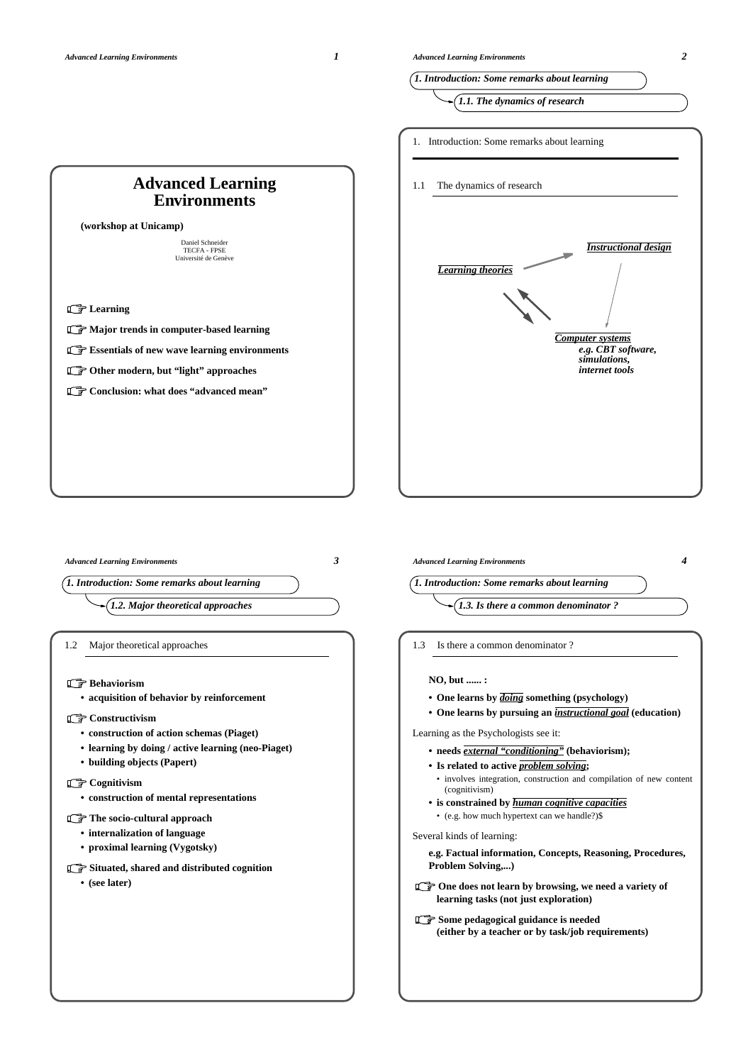**Learning** 





*Advanced Learning Environments 3*

*1.2. Major theoretical approaches*

1.2 Major theoretical approaches

**Behaviorism** 

**• acquisition of behavior by reinforcement**

### **Constructivism**

- **construction of action schemas (Piaget)**
- **learning by doing / active learning (neo-Piaget)**
- **building objects (Papert)**

### **Cognitivism**

**• construction of mental representations**

### **The socio-cultural approach**

- **internalization of language**
- **proximal learning (Vygotsky)**
- **Situated, shared and distributed cognition**

**• (see later)**

*Advanced Learning Environments 4 1. Introduction: Some remarks about learning 1.3. Is there a common denominator ?* 1.3 Is there a common denominator ? **NO, but ...... : • One learns by** *doing* **something (psychology) • One learns by pursuing an** *instructional goal* **(education)** Learning as the Psychologists see it: **• needs** *external "conditioning"* **(behaviorism); • Is related to active** *problem solving***;**

- involves integration, construction and compilation of new content (cognitivism)
- **is constrained by** *human cognitive capacities* • (e.g. how much hypertext can we handle?)\$

### Several kinds of learning:

**e.g. Factual information, Concepts, Reasoning, Procedures, Problem Solving,...)**

- **C** $\mathbb{F}$  One does not learn by browsing, we need a variety of **learning tasks (not just exploration)**
- **Some pedagogical guidance is needed (either by a teacher or by task/job requirements)**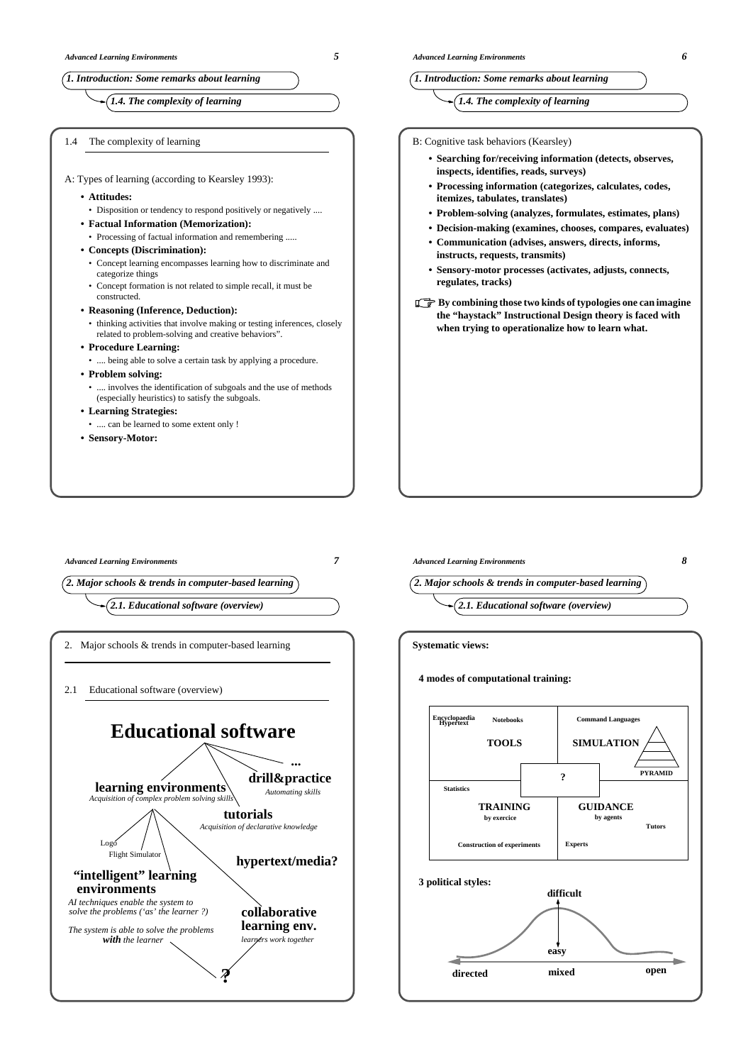*1.4. The complexity of learning*

1.4 The complexity of learning

| A: Types of learning (according to Kearsley 1993): |  |  |
|----------------------------------------------------|--|--|
|                                                    |  |  |

- **Attitudes:**
- Disposition or tendency to respond positively or negatively ....
- **Factual Information (Memorization):**
- Processing of factual information and remembering .....
- **Concepts (Discrimination):**
	- Concept learning encompasses learning how to discriminate and categorize things
- Concept formation is not related to simple recall, it must be constructed.
- **Reasoning (Inference, Deduction):**
- thinking activities that involve making or testing inferences, closely related to problem-solving and creative behaviors".
- **Procedure Learning:**
- .... being able to solve a certain task by applying a procedure.
- **Problem solving:**
- .... involves the identification of subgoals and the use of methods (especially heuristics) to satisfy the subgoals.
- **Learning Strategies:**
- .... can be learned to some extent only !
- **Sensory-Motor:**

## *1. Introduction: Some remarks about learning*

## *1.4. The complexity of learning*

B: Cognitive task behaviors (Kearsley)

- **Searching for/receiving information (detects, observes, inspects, identifies, reads, surveys)**
- **Processing information (categorizes, calculates, codes, itemizes, tabulates, translates)**
- **Problem-solving (analyzes, formulates, estimates, plans)**
- **Decision-making (examines, chooses, compares, evaluates)**
- **Communication (advises, answers, directs, informs, instructs, requests, transmits)**
- **Sensory-motor processes (activates, adjusts, connects, regulates, tracks)**
- **By combining those two kinds of typologies one can imagine the "haystack" Instructional Design theory is faced with when trying to operationalize how to learn what.**

*Advanced Learning Environments 7*

*2. Major schools & trends in computer-based learning*

*2.1. Educational software (overview)*

2. Major schools & trends in computer-based learning

2.1 Educational software (overview)





**GUIDANCE by agents Experts Tutors TRAINING Statistics Construction of experiments by exercice PYRAMID ? 3 political styles: directed mixed open difficult easy**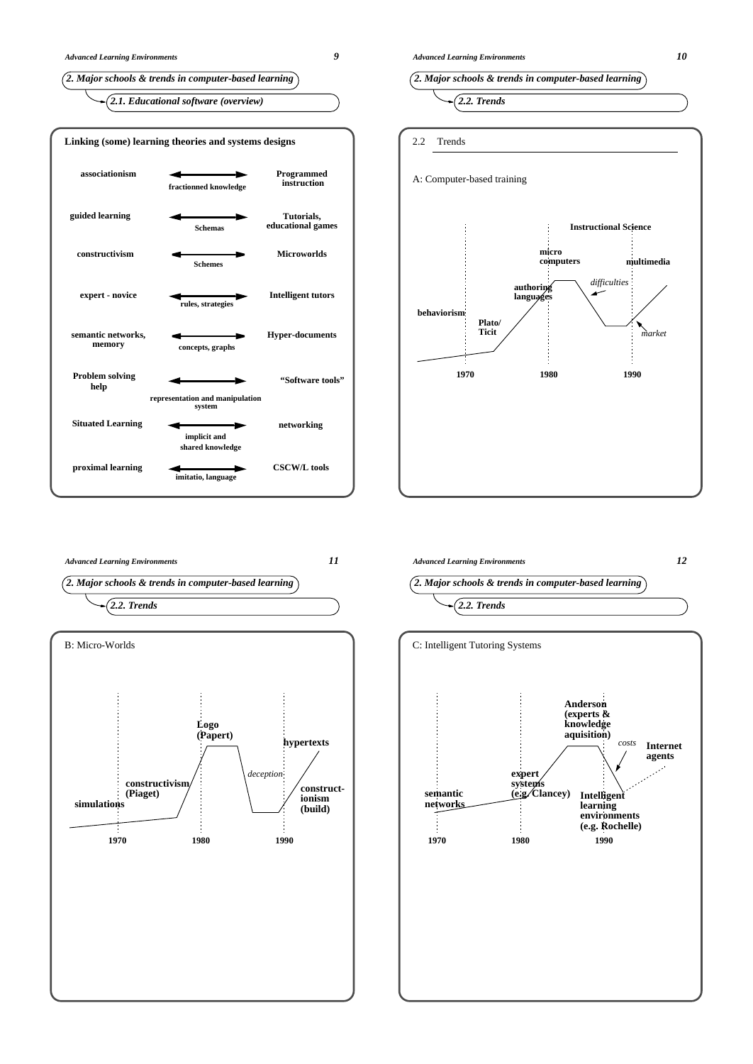









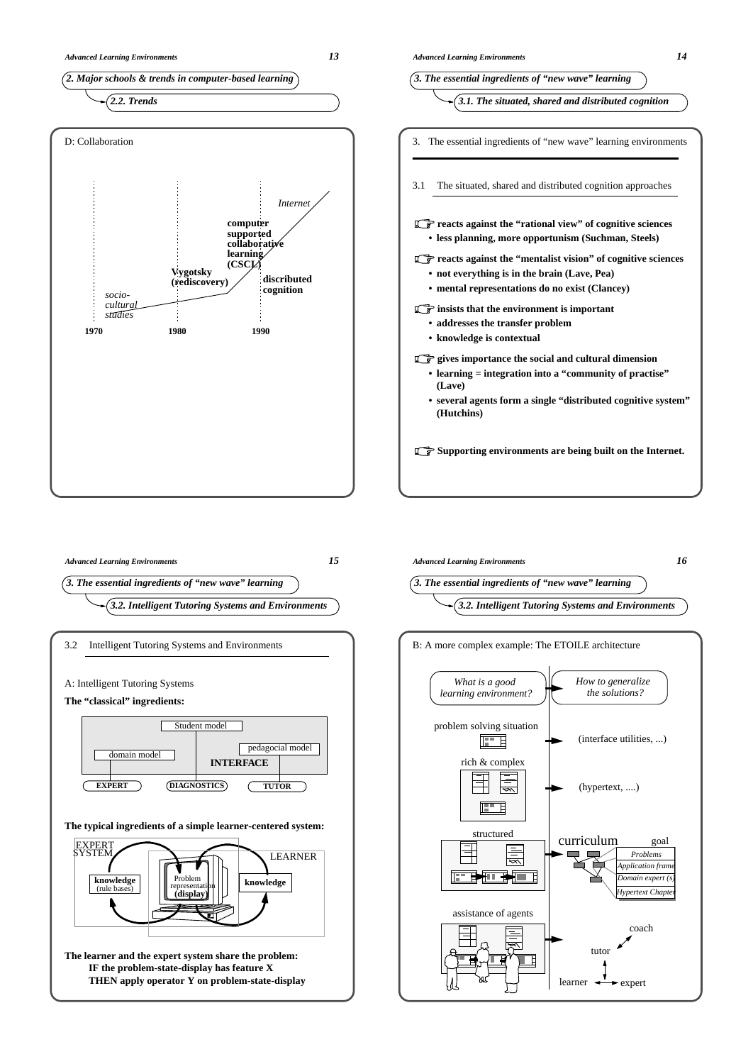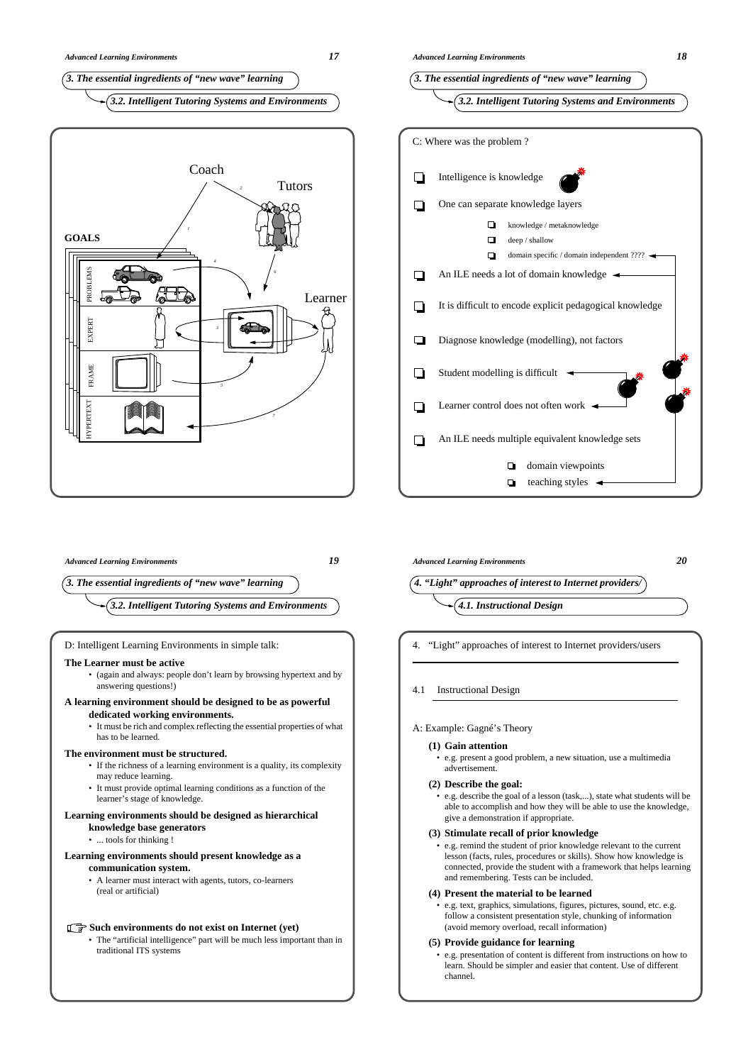



*4. "Light" approaches of interest to Internet providers/*

4.1 Instructional Design

## A: Example: Gagné's Theory

- **(1) Gain attention**
	- e.g. present a good problem, a new situation, use a multimedia advertisement.

*Advanced Learning Environments 20*

## **(2) Describe the goal:**

• e.g. describe the goal of a lesson (task,...), state what students will be able to accomplish and how they will be able to use the knowledge, give a demonstration if appropriate.

## **(3) Stimulate recall of prior knowledge**

• e.g. remind the student of prior knowledge relevant to the current lesson (facts, rules, procedures or skills). Show how knowledge is connected, provide the student with a framework that helps learning and remembering. Tests can be included.

# **(4) Present the material to be learned**

• e.g. text, graphics, simulations, figures, pictures, sound, etc. e.g. follow a consistent presentation style, chunking of information (avoid memory overload, recall information)

## **(5) Provide guidance for learning**

• e.g. presentation of content is different from instructions on how to learn. Should be simpler and easier that content. Use of different channel.

*3. The essential ingredients of "new wave" learning*

*3.2. Intelligent Tutoring Systems and Environments*

*Advanced Learning Environments 19*

## D: Intelligent Learning Environments in simple talk:

## **The Learner must be active**

• (again and always: people don't learn by browsing hypertext and by answering questions!)

# **A learning environment should be designed to be as powerful**

## **dedicated working environments.**

• It must be rich and complex reflecting the essential properties of what has to be learned.

## **The environment must be structured.**

- If the richness of a learning environment is a quality, its complexity may reduce learning.
- It must provide optimal learning conditions as a function of the learner's stage of knowledge.

# **Learning environments should be designed as hierarchical**

- **knowledge base generators**
- ... tools for thinking !

## **Learning environments should present knowledge as a communication system.**

• A learner must interact with agents, tutors, co-learners (real or artificial)

# Such environments do not exist on Internet (yet)

• The "artificial intelligence" part will be much less important than in traditional ITS systems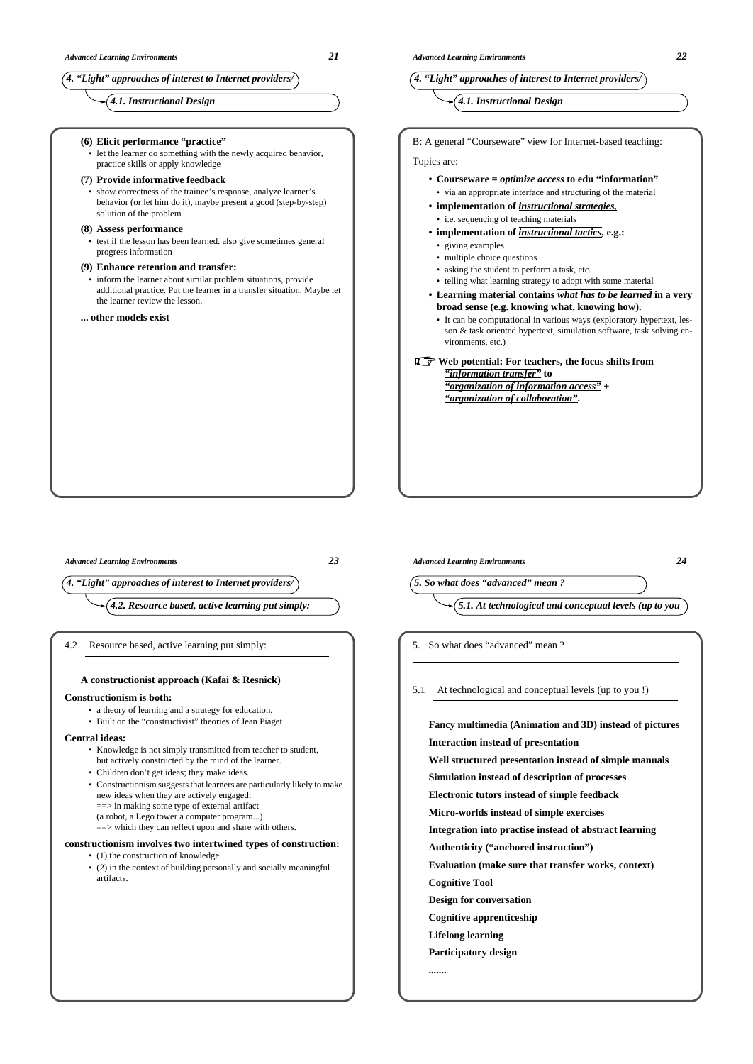*4. "Light" approaches of interest to Internet providers/*

*4.1. Instructional Design*

**(6) Elicit performance "practice"** let the learner do something with the newly acquired behavior, practice skills or apply knowledge

### **(7) Provide informative feedback**

• show correctness of the trainee's response, analyze learner's behavior (or let him do it), maybe present a good (step-by-step) solution of the problem

### **(8) Assess performance**

test if the lesson has been learned. also give sometimes general progress information

### **(9) Enhance retention and transfer:**

inform the learner about similar problem situations, provide additional practice. Put the learner in a transfer situation. Maybe let the learner review the lesson.

### **... other models exist**

## *4. "Light" approaches of interest to Internet providers/*

# *4.1. Instructional Design*

B: A general "Courseware" view for Internet-based teaching:

### Topics are:

- **Courseware =** *optimize access* **to edu "information"** • via an appropriate interface and structuring of the material
- **implementation of** *instructional strategies,* • i.e. sequencing of teaching materials
- **implementation of** *instructional tactics***, e.g.:**
- giving examples
- multiple choice questions
- asking the student to perform a task, etc.
- telling what learning strategy to adopt with some material
- **Learning material contains** *what has to be learned* **in a very broad sense (e.g. knowing what, knowing how).**
- It can be computational in various ways (exploratory hypertext, lesson & task oriented hypertext, simulation software, task solving environments, etc.)

## Web potential: For teachers, the focus shifts from *"information transfer"* **to**

*"organization of information access"* **+** *"organization of collaboration"***.**

*Advanced Learning Environments 23*

*4. "Light" approaches of interest to Internet providers/*

*4.2. Resource based, active learning put simply:*

4.2 Resource based, active learning put simply:

## **A constructionist approach (Kafai & Resnick)**

### **Constructionism is both:**

- a theory of learning and a strategy for education.
- Built on the "constructivist" theories of Jean Piaget

### **Central ideas:**

- Knowledge is not simply transmitted from teacher to student, but actively constructed by the mind of the learner.
- Children don't get ideas; they make ideas.
- Constructionism suggests that learners are particularly likely to make new ideas when they are actively engaged: ==> in making some type of external artifact (a robot, a Lego tower a computer program...)
- ==> which they can reflect upon and share with others.

### **constructionism involves two intertwined types of construction:** • (1) the construction of knowledge

• (2) in the context of building personally and socially meaningful artifacts.

*Advanced Learning Environments 24*

*5. So what does "advanced" mean ?*



5. So what does "advanced" mean ?

5.1 At technological and conceptual levels (up to you !)

**Fancy multimedia (Animation and 3D) instead of pictures Interaction instead of presentation Well structured presentation instead of simple manuals Simulation instead of description of processes Electronic tutors instead of simple feedback Micro-worlds instead of simple exercises Integration into practise instead of abstract learning Authenticity ("anchored instruction") Evaluation (make sure that transfer works, context) Cognitive Tool Design for conversation Cognitive apprenticeship Lifelong learning Participatory design .......**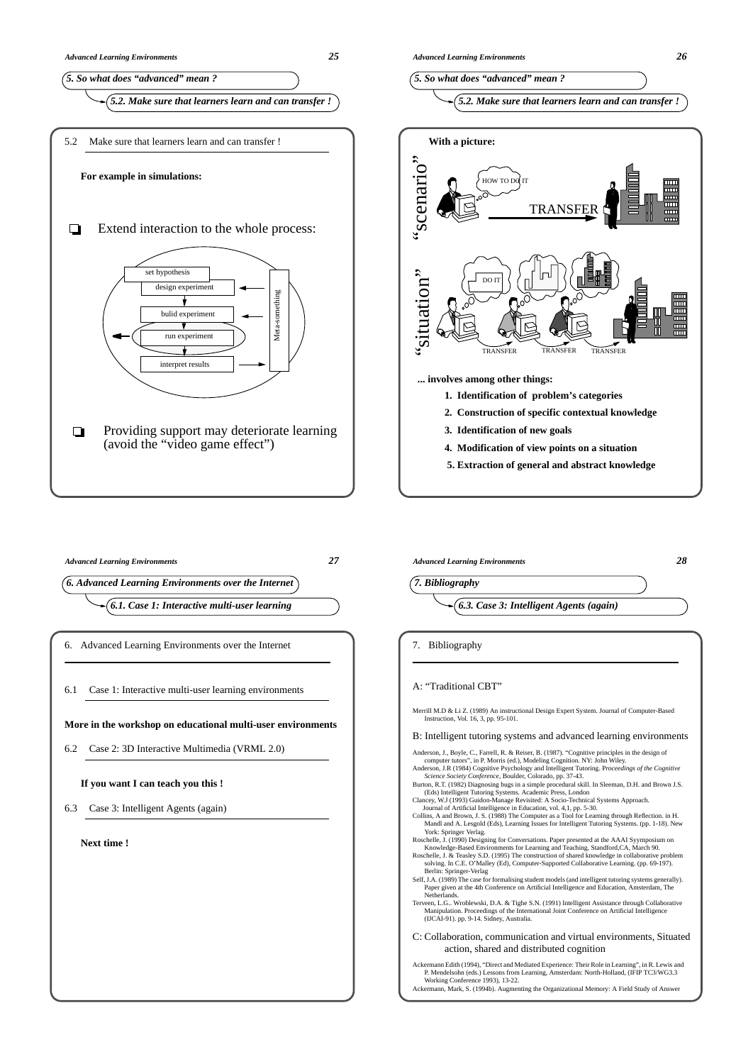

6.3 Case 3: Intelligent Agents (again)

**Next time !**



"situation" situation DO IT TRANSFER TRANSFER TRANSFER

**... involves among other things:**

- **1. Identification of problem's categories**
- **2. Construction of specific contextual knowledge**
- **3. Identification of new goals**
- **4. Modification of view points on a situation**
- **5. Extraction of general and abstract knowledge**

*Advanced Learning Environments 28*



Merrill M.D & Li Z. (1989) An instructional Design Expert System. Journal of Computer-Based Instruction, Vol. 16, 3, pp. 95-101.

B: Intelligent tutoring systems and advanced learning environments

Anderson, J., Boyle, C., Farrell, R. & Reiser, B. (1987). "Cognitive principles in the design of computer tutors", in P. Morris (ed.), Modeling Cognition. NY: John Wiley.<br>Anderson, J.R. (1984) Cognitive Psychology and Intelligent Tutoring. Proceedings of the Cognitive<br>Science Society Conference, Boulder, Colorado, pp.

- 
- Burton, R.T. (1982) Diagnosing bugs in a simple procedural skill. In Sleeman, D.H. and Brown J.S.<br>(Eds.) Intelligent Tutoring Systems. Academic Press, London<br>Clancey, W.J (1993) Guidon-Manage Revisited: A Socio-Technical S
- 
- York: Springer Verlag.<br>Koschelle, J. (1990) Designing for Conversations. Paper presented at the AAAI Syymposium on<br>Knowledge-Based Environments for Learning and Teaching, Standford,CA, March 90.<br>Roschelle, J. & Teasley S.D
- Berlin: Springer-Verlag Self, J.A. (1989) The case for formalising student models (and intelligent tutoring systems generally). Paper given at the 4th Conference on Artificial Intelligence and Education, Amsterdam, The
- Nether Terveen, L.G., Wroblewski, D.A. & Tighe S.N. (1991) Intelligent Assistance through Collaborative<br>Manipulation. Proceedings of the International Joint Conference on Artificial Intelligence<br>(IJCAI-91). pp. 9-14. Sidney, Aust

C: Collaboration, communication and virtual environments, Situated action, shared and distributed cognition

Ackermann Edith (1994), "Direct and Mediated Experience: Their Role in Learning", in R. Lewis and P. Mendelsohn (eds.) Lessons from Learning, Amsterdam: North-Holland, (IFIP TC3/WG3.3 Working Conference 1993), 13-22. Ackermann, Mark, S. (1994b). Augmenting the Organizational Memory: A Field Study of Answer